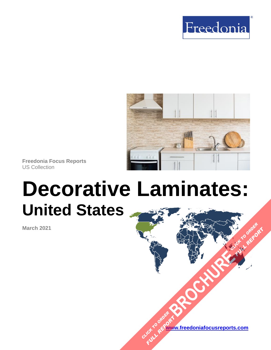



**Freedonia Focus Reports** US Collection

# **Decorative Laminates: United States**

**March 2021**



**FULL REPORT**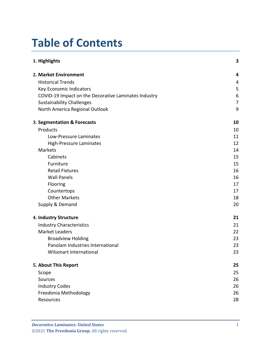# **Table of Contents**

| 1. Highlights                                        | 3  |
|------------------------------------------------------|----|
| 2. Market Environment                                | 4  |
| <b>Historical Trends</b>                             | 4  |
| Key Economic Indicators                              | 5  |
| COVID-19 Impact on the Decorative Laminates Industry | 6  |
| <b>Sustainability Challenges</b>                     | 7  |
| North America Regional Outlook                       | 9  |
| 3. Segmentation & Forecasts                          | 10 |
| Products                                             | 10 |
| Low-Pressure Laminates                               | 11 |
| <b>High-Pressure Laminates</b>                       | 12 |
| Markets                                              | 14 |
| Cabinets                                             | 15 |
| Furniture                                            | 15 |
| <b>Retail Fixtures</b>                               | 16 |
| <b>Wall Panels</b>                                   | 16 |
| Flooring                                             | 17 |
| Countertops                                          | 17 |
| <b>Other Markets</b>                                 | 18 |
| Supply & Demand                                      | 20 |
| 4. Industry Structure                                | 21 |
| <b>Industry Characteristics</b>                      | 21 |
| <b>Market Leaders</b>                                | 22 |
| <b>Broadview Holding</b>                             | 23 |
| Panolam Industries International                     | 23 |
| <b>Wilsonart International</b>                       | 23 |
| 5. About This Report                                 | 25 |
| Scope                                                | 25 |
| Sources                                              | 26 |
| <b>Industry Codes</b>                                | 26 |
| Freedonia Methodology                                | 26 |
| Resources                                            | 28 |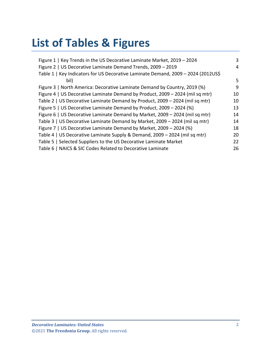# **List of Tables & Figures**

| Figure 1   Key Trends in the US Decorative Laminate Market, 2019 - 2024            | 3  |
|------------------------------------------------------------------------------------|----|
| Figure 2   US Decorative Laminate Demand Trends, 2009 - 2019                       | 4  |
| Table 1   Key Indicators for US Decorative Laminate Demand, 2009 - 2024 (2012US\$) |    |
| bil)                                                                               | 5  |
| Figure 3   North America: Decorative Laminate Demand by Country, 2019 (%)          | 9  |
| Figure 4   US Decorative Laminate Demand by Product, 2009 - 2024 (mil sq mtr)      | 10 |
| Table 2   US Decorative Laminate Demand by Product, 2009 - 2024 (mil sq mtr)       | 10 |
| Figure 5   US Decorative Laminate Demand by Product, 2009 - 2024 (%)               | 13 |
| Figure 6   US Decorative Laminate Demand by Market, 2009 - 2024 (mil sq mtr)       | 14 |
| Table 3   US Decorative Laminate Demand by Market, 2009 - 2024 (mil sq mtr)        | 14 |
| Figure 7   US Decorative Laminate Demand by Market, 2009 - 2024 (%)                | 18 |
| Table 4   US Decorative Laminate Supply & Demand, 2009 - 2024 (mil sq mtr)         | 20 |
| Table 5   Selected Suppliers to the US Decorative Laminate Market                  | 22 |
| Table 6   NAICS & SIC Codes Related to Decorative Laminate                         | 26 |
|                                                                                    |    |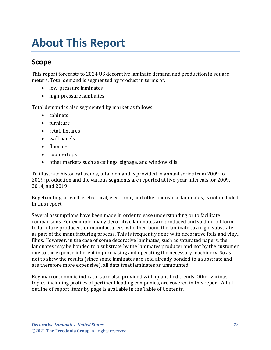# <span id="page-3-0"></span>**About This Report**

# <span id="page-3-1"></span>**Scope**

This report forecasts to 2024 US decorative laminate demand and production in square meters. Total demand is segmented by product in terms of:

- low-pressure laminates
- high-pressure laminates

Total demand is also segmented by market as follows:

- cabinets
- furniture
- retail fixtures
- wall panels
- flooring
- countertops
- other markets such as ceilings, signage, and window sills

To illustrate historical trends, total demand is provided in annual series from 2009 to 2019; production and the various segments are reported at five-year intervals for 2009, 2014, and 2019.

Edgebanding, as well as electrical, electronic, and other industrial laminates, is not included in this report.

Several assumptions have been made in order to ease understanding or to facilitate comparisons. For example, many decorative laminates are produced and sold in roll form to furniture producers or manufacturers, who then bond the laminate to a rigid substrate as part of the manufacturing process. This is frequently done with decorative foils and vinyl films. However, in the case of some decorative laminates, such as saturated papers, the laminates may be bonded to a substrate by the laminates producer and not by the customer due to the expense inherent in purchasing and operating the necessary machinery. So as not to skew the results (since some laminates are sold already bonded to a substrate and are therefore more expensive), all data treat laminates as unmounted.

Key macroeconomic indicators are also provided with quantified trends. Other various topics, including profiles of pertinent leading companies, are covered in this report. A full outline of report items by page is available in the Table of Contents.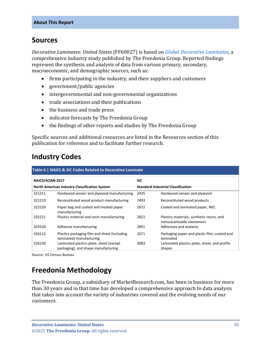# <span id="page-4-0"></span>**Sources**

*Decorative Laminates: United States* (FF60027) is based on *[Global Decorative Laminates,](http://www.freedoniagroup.com/DocumentDetails.aspx?ReferrerId=FL-FOCUS&studyid=4139)* a comprehensive industry study published by The Freedonia Group. Reported findings represent the synthesis and analysis of data from various primary, secondary, macroeconomic, and demographic sources, such as:

- firms participating in the industry, and their suppliers and customers
- government/public agencies
- intergovernmental and non-governmental organizations
- trade associations and their publications
- the business and trade press
- indicator forecasts by The Freedonia Group
- the findings of other reports and studies by The Freedonia Group

Specific sources and additional resources are listed in the Resources section of this publication for reference and to facilitate further research.

# <span id="page-4-1"></span>**Industry Codes**

<span id="page-4-3"></span>

| Table 6   NAICS & SIC Codes Related to Decorative Laminate |                                                                                |                                           |                                                                         |  |
|------------------------------------------------------------|--------------------------------------------------------------------------------|-------------------------------------------|-------------------------------------------------------------------------|--|
| <b>NAICS/SCIAN 2017</b>                                    |                                                                                | <b>SIC</b>                                |                                                                         |  |
| North American Industry Classification System              |                                                                                | <b>Standard Industrial Classification</b> |                                                                         |  |
| 321211                                                     | Hardwood veneer and plywood manufacturing                                      | 2435                                      | Hardwood veneer and plywood                                             |  |
| 321219                                                     | Reconstituted wood product manufacturing                                       | 2493                                      | Reconstituted wood products                                             |  |
| 322220                                                     | Paper bag and coated and treated paper<br>manufacturing                        | 2672                                      | Coated and laminated paper, NEC                                         |  |
| 325211                                                     | Plastics material and resin manufacturing                                      | 2821                                      | Plastics materials, synthetic resins, and<br>nonvulcanizable elastomers |  |
| 325520                                                     | Adhesive manufacturing                                                         | 2891                                      | Adhesives and sealants                                                  |  |
| 326112                                                     | Plastics packaging film and sheet (including<br>laminated) manufacturing       | 2671                                      | Packaging paper and plastic film; coated and<br>laminated               |  |
| 326130                                                     | Laminated plastics plate, sheet (except<br>packaging), and shape manufacturing | 3083                                      | Laminated plastics plate, sheet, and profile<br>shapes                  |  |

Source: US Census Bureau

# <span id="page-4-2"></span>**Freedonia Methodology**

The Freedonia Group, a subsidiary of MarketResearch.com, has been in business for more than 30 years and in that time has developed a comprehensive approach to data analysis that takes into account the variety of industries covered and the evolving needs of our customers.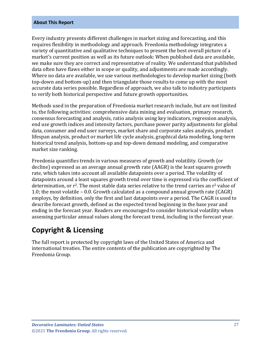#### **About This Report**

Every industry presents different challenges in market sizing and forecasting, and this requires flexibility in methodology and approach. Freedonia methodology integrates a variety of quantitative and qualitative techniques to present the best overall picture of a market's current position as well as its future outlook: When published data are available, we make sure they are correct and representative of reality. We understand that published data often have flaws either in scope or quality, and adjustments are made accordingly. Where no data are available, we use various methodologies to develop market sizing (both top-down and bottom-up) and then triangulate those results to come up with the most accurate data series possible. Regardless of approach, we also talk to industry participants to verify both historical perspective and future growth opportunities.

Methods used in the preparation of Freedonia market research include, but are not limited to, the following activities: comprehensive data mining and evaluation, primary research, consensus forecasting and analysis, ratio analysis using key indicators, regression analysis, end use growth indices and intensity factors, purchase power parity adjustments for global data, consumer and end user surveys, market share and corporate sales analysis, product lifespan analysis, product or market life cycle analysis, graphical data modeling, long-term historical trend analysis, bottom-up and top-down demand modeling, and comparative market size ranking.

Freedonia quantifies trends in various measures of growth and volatility. Growth (or decline) expressed as an average annual growth rate (AAGR) is the least squares growth rate, which takes into account all available datapoints over a period. The volatility of datapoints around a least squares growth trend over time is expressed via the coefficient of determination, or  $r^2$ . The most stable data series relative to the trend carries an  $r^2$  value of 1.0; the most volatile – 0.0. Growth calculated as a compound annual growth rate (CAGR) employs, by definition, only the first and last datapoints over a period. The CAGR is used to describe forecast growth, defined as the expected trend beginning in the base year and ending in the forecast year. Readers are encouraged to consider historical volatility when assessing particular annual values along the forecast trend, including in the forecast year.

# **Copyright & Licensing**

The full report is protected by copyright laws of the United States of America and international treaties. The entire contents of the publication are copyrighted by The Freedonia Group.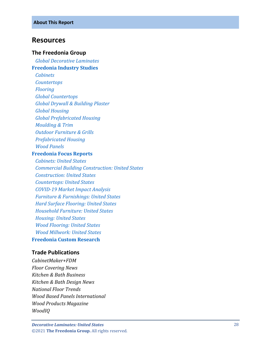### <span id="page-6-0"></span>**Resources**

#### **The Freedonia Group**

 *[Global Decorative Laminates](http://www.freedoniagroup.com/DocumentDetails.aspx?ReferrerId=FL-FOCUS&studyid=4139)*

#### **[Freedonia Industry Studies](http://www.freedoniagroup.com/Home.aspx?ReferrerId=FL-Focus)**

 *[Cabinets](https://www.freedoniagroup.com/DocumentDetails.aspx?ReferrerId=FL-FOCUS&StudyId=3772)*

 *[Countertops](https://www.freedoniagroup.com/DocumentDetails.aspx?ReferrerId=FL-FOCUS&StudyId=3799)*

 *[Flooring](https://www.freedoniagroup.com/DocumentDetails.aspx?ReferrerId=FL-FOCUS&StudyId=3964)*

 *[Global Countertops](https://www.freedoniagroup.com/DocumentDetails.aspx?ReferrerId=FL-FOCUS&StudyId=3836)*

 *[Global Drywall & Building Plaster](https://www.freedoniagroup.com/DocumentDetails.aspx?ReferrerId=FL-FOCUS&StudyId=3768)*

 *[Global Housing](https://www.freedoniagroup.com/DocumentDetails.aspx?ReferrerId=FL-FOCUS&StudyId=3877)*

 *[Global Prefabricated Housing](https://www.freedoniagroup.com/DocumentDetails.aspx?ReferrerId=FL-FOCUS&StudyId=3971)*

 *[Moulding & Trim](https://www.freedoniagroup.com/DocumentDetails.aspx?ReferrerId=FL-FOCUS&StudyId=3815)*

 *[Outdoor Furniture & Grills](https://www.freedoniagroup.com/DocumentDetails.aspx?ReferrerId=FL-FOCUS&StudyId=3811)*

 *[Prefabricated Housing](https://www.freedoniagroup.com/DocumentDetails.aspx?ReferrerId=FL-FOCUS&StudyId=3814)*

 *[Wood Panels](https://www.freedoniagroup.com/DocumentDetails.aspx?ReferrerId=FL-FOCUS&StudyId=3857)*

### **[Freedonia Focus Reports](https://www.freedoniafocusreports.com/redirect.asp?progid=89534&url=/)**

 *[Cabinets: United States](https://www.freedoniafocusreports.com/Cabinets-United-States-FF60042/?progid=89534) [Commercial Building Construction: United States](https://www.freedoniafocusreports.com/Commercial-Building-Construction-United-States-FF60032/?progid=89534) [Construction: United States](https://www.freedoniafocusreports.com/Construction-United-States-FF60054/?progid=89534) [Countertops: United States](https://www.freedoniafocusreports.com/Countertops-United-States-FF60020/?progid=89534) COVID [-19 Market Impact Analysis](https://www.freedoniafocusreports.com/COVID-19-Market-Impact-Analysis-FW95079/?progid=89534) [Furniture & Furnishings: United States](https://www.freedoniafocusreports.com/Furniture-Furnishings-United-States-FF20018/?progid=89534) [Hard Surface Flooring: United States](https://www.freedoniafocusreports.com/Hard-Surface-Flooring-United-States-FF60047/?progid=89534) [Household Furniture: United States](https://www.freedoniafocusreports.com/Household-Furniture-United-States-FF20010/?progid=89534) [Housing: United States](https://www.freedoniafocusreports.com/Housing-United-States-FF60024/?progid=89534) [Wood Flooring: United States](https://www.freedoniafocusreports.com/Wood-Flooring-United-States-FF20014/?progid=89534) [Wood Millwork: United States](https://www.freedoniafocusreports.com/Wood-Millwork-United-States-FF20012/?progid=89534)* **[Freedonia Custom Research](http://www.freedoniagroup.com/CustomResearch.aspx?ReferrerId=FL-Focus)**

### **Trade Publications**

*CabinetMaker+FDM Floor Covering News Kitchen & Bath Business Kitchen & Bath Design News National Floor Trends Wood Based Panels International Wood Products Magazine WoodIQ*